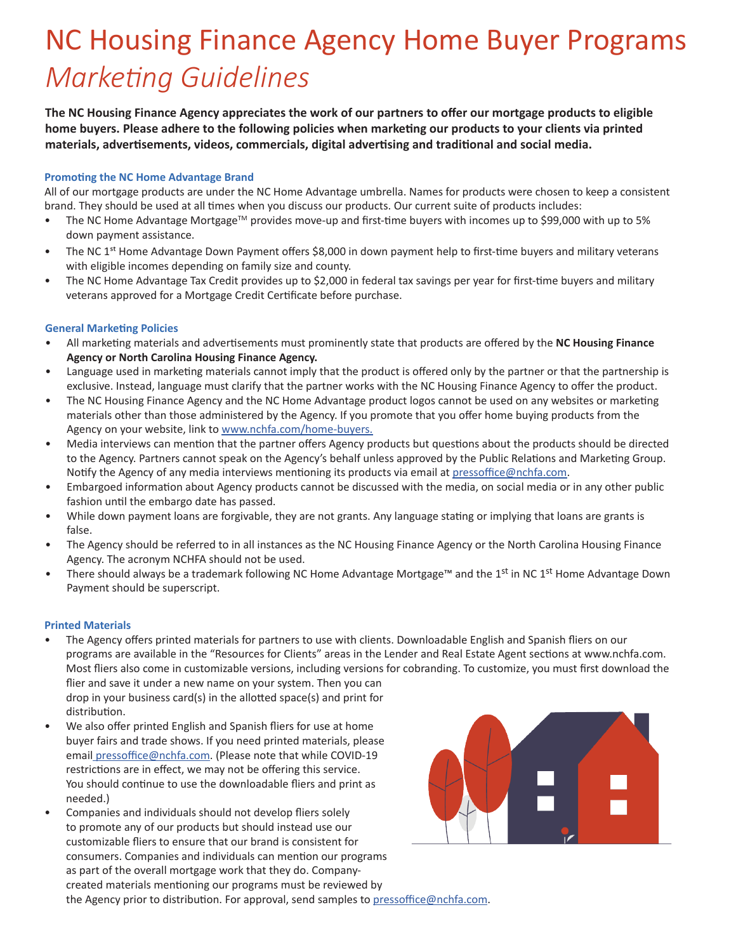# NC Housing Finance Agency Home Buyer Programs *Marketing Guidelines*

**The NC Housing Finance Agency appreciates the work of our partners to offer our mortgage products to eligible home buyers. Please adhere to the following policies when marketing our products to your clients via printed materials, advertisements, videos, commercials, digital advertising and traditional and social media.**

### **Promoting the NC Home Advantage Brand**

All of our mortgage products are under the NC Home Advantage umbrella. Names for products were chosen to keep a consistent brand. They should be used at all times when you discuss our products. Our current suite of products includes:

- The NC Home Advantage Mortgage<sup>TM</sup> provides move-up and first-time buyers with incomes up to \$99,000 with up to 5% down payment assistance.
- The NC 1<sup>st</sup> Home Advantage Down Payment offers \$8,000 in down payment help to first-time buyers and military veterans with eligible incomes depending on family size and county.
- The NC Home Advantage Tax Credit provides up to \$2,000 in federal tax savings per year for first-time buyers and military veterans approved for a Mortgage Credit Certificate before purchase.

## **General Marketing Policies**

- All marketing materials and advertisements must prominently state that products are offered by the **NC Housing Finance Agency or North Carolina Housing Finance Agency.**
- Language used in marketing materials cannot imply that the product is offered only by the partner or that the partnership is exclusive. Instead, language must clarify that the partner works with the NC Housing Finance Agency to offer the product.
- The NC Housing Finance Agency and the NC Home Advantage product logos cannot be used on any websites or marketing materials other than those administered by the Agency. If you promote that you offer home buying products from the Agency on your website, link to www.nchfa.com/home-buyers.
- Media interviews can mention that the partner offers Agency products but questions about the products should be directed to the Agency. Partners cannot speak on the Agency's behalf unless approved by the Public Relations and Marketing Group. Notify the Agency of any media interviews mentioning its products via email at pressoffice@nchfa.com.
- Embargoed information about Agency products cannot be discussed with the media, on social media or in any other public fashion until the embargo date has passed.
- While down payment loans are forgivable, they are not grants. Any language stating or implying that loans are grants is false.
- The Agency should be referred to in all instances as the NC Housing Finance Agency or the North Carolina Housing Finance Agency. The acronym NCHFA should not be used.
- There should always be a trademark following NC Home Advantage Mortgage™ and the 1<sup>st</sup> in NC 1<sup>st</sup> Home Advantage Down Payment should be superscript.

#### **Printed Materials**

- The Agency offers printed materials for partners to use with clients. Downloadable English and Spanish fliers on our programs are available in the "Resources for Clients" areas in the Lender and Real Estate Agent sections at www.nchfa.com. Most fliers also come in customizable versions, including versions for cobranding. To customize, you must first download the flier and save it under a new name on your system. Then you can drop in your business card(s) in the allotted space(s) and print for distribution.
- We also offer printed English and Spanish fliers for use at home buyer fairs and trade shows. If you need printed materials, please email pressoffice@nchfa.com. (Please note that while COVID-19 restrictions are in effect, we may not be offering this service. You should continue to use the downloadable fliers and print as needed.)
- Companies and individuals should not develop fliers solely to promote any of our products but should instead use our customizable fliers to ensure that our brand is consistent for consumers. Companies and individuals can mention our programs as part of the overall mortgage work that they do. Companycreated materials mentioning our programs must be reviewed by the Agency prior to distribution. For approval, send samples to pressoffice@nchfa.com.